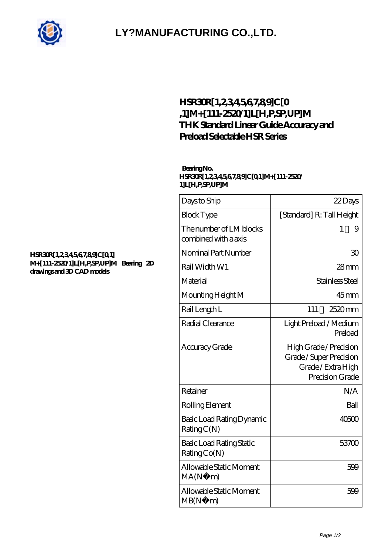

## **[LY?MANUFACTURING CO.,LTD.](https://gdet.net.cn)**

### **[HSR30R\[1,2,3,4,5,6,7,8,9\]C\[0](https://gdet.net.cn/curved-linear-guide/hsr30r-1-2-3-4-5-6-7-8-9-c-0-1-m-111-2520-1-l-h-p-sp-up-m.html) [,1\]M+\[111-2520/1\]L\[H,P,SP,UP\]M](https://gdet.net.cn/curved-linear-guide/hsr30r-1-2-3-4-5-6-7-8-9-c-0-1-m-111-2520-1-l-h-p-sp-up-m.html) [THK Standard Linear Guide Accuracy and](https://gdet.net.cn/curved-linear-guide/hsr30r-1-2-3-4-5-6-7-8-9-c-0-1-m-111-2520-1-l-h-p-sp-up-m.html) [Preload Selectable HSR Series](https://gdet.net.cn/curved-linear-guide/hsr30r-1-2-3-4-5-6-7-8-9-c-0-1-m-111-2520-1-l-h-p-sp-up-m.html)**

#### **Bearing No. HSR30R[1,2,3,4,5,6,7,8,9]C[0,1]M+[111-2520/ 1]L[H,P,SP,UP]M**

| Days to Ship                                    | 22Days                                                                                |
|-------------------------------------------------|---------------------------------------------------------------------------------------|
| <b>Block Type</b>                               | [Standard] R: Tall Height                                                             |
| The number of LM blocks<br>combined with a axis | $\mathbf{1}$<br>9                                                                     |
| Nominal Part Number                             | 30                                                                                    |
| Rail Width W1                                   | $28$ mm                                                                               |
| Material                                        | Stainless Steel                                                                       |
| Mounting Height M                               | $45$ mm                                                                               |
| Rail Length L                                   | 111<br>2520mm                                                                         |
| Radial Clearance                                | Light Preload / Medium<br>Preload                                                     |
| Accuracy Grade                                  | High Grade / Precision<br>Grade/Super Precision<br>Grade/ExtraHigh<br>Precision Grade |
| Retainer                                        | N/A                                                                                   |
| Rolling Element                                 | Ball                                                                                  |
| Basic Load Rating Dynamic<br>RatingC(N)         | 40500                                                                                 |
| Basic Load Rating Static<br>RatingCo(N)         | 53700                                                                                 |
| Allowable Static Moment<br>MA(N)<br>m)          | 599                                                                                   |
| Allowable Static Moment<br>MB(N)<br>m)          | 599                                                                                   |

#### **[HSR30R\[1,2,3,4,5,6,7,8,9\]C\[0,1\]](https://gdet.net.cn/pic-691378.html) [M+\[111-2520/1\]L\[H,P,SP,UP\]M Bearing 2D](https://gdet.net.cn/pic-691378.html) [drawings and 3D CAD models](https://gdet.net.cn/pic-691378.html)**